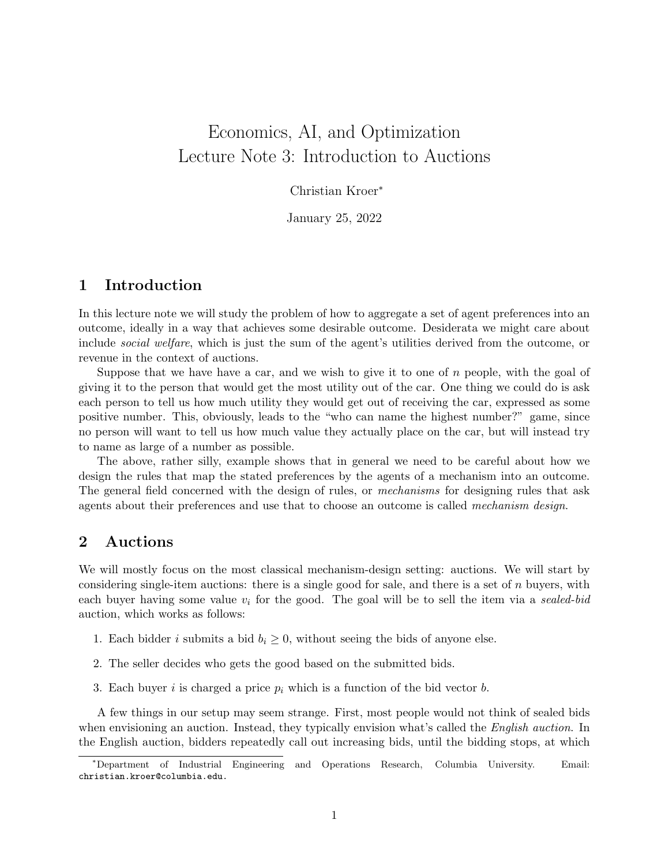# Economics, AI, and Optimization Lecture Note 3: Introduction to Auctions

Christian Kroer<sup>∗</sup>

January 25, 2022

## 1 Introduction

In this lecture note we will study the problem of how to aggregate a set of agent preferences into an outcome, ideally in a way that achieves some desirable outcome. Desiderata we might care about include *social welfare*, which is just the sum of the agent's utilities derived from the outcome, or revenue in the context of auctions.

Suppose that we have have a car, and we wish to give it to one of  $n$  people, with the goal of giving it to the person that would get the most utility out of the car. One thing we could do is ask each person to tell us how much utility they would get out of receiving the car, expressed as some positive number. This, obviously, leads to the "who can name the highest number?" game, since no person will want to tell us how much value they actually place on the car, but will instead try to name as large of a number as possible.

The above, rather silly, example shows that in general we need to be careful about how we design the rules that map the stated preferences by the agents of a mechanism into an outcome. The general field concerned with the design of rules, or *mechanisms* for designing rules that ask agents about their preferences and use that to choose an outcome is called mechanism design.

## 2 Auctions

We will mostly focus on the most classical mechanism-design setting: auctions. We will start by considering single-item auctions: there is a single good for sale, and there is a set of  $n$  buyers, with each buyer having some value  $v_i$  for the good. The goal will be to sell the item via a sealed-bid auction, which works as follows:

- 1. Each bidder i submits a bid  $b_i \geq 0$ , without seeing the bids of anyone else.
- 2. The seller decides who gets the good based on the submitted bids.
- 3. Each buyer i is charged a price  $p_i$  which is a function of the bid vector b.

A few things in our setup may seem strange. First, most people would not think of sealed bids when envisioning an auction. Instead, they typically envision what's called the English auction. In the English auction, bidders repeatedly call out increasing bids, until the bidding stops, at which

<sup>∗</sup>Department of Industrial Engineering and Operations Research, Columbia University. Email: christian.kroer@columbia.edu.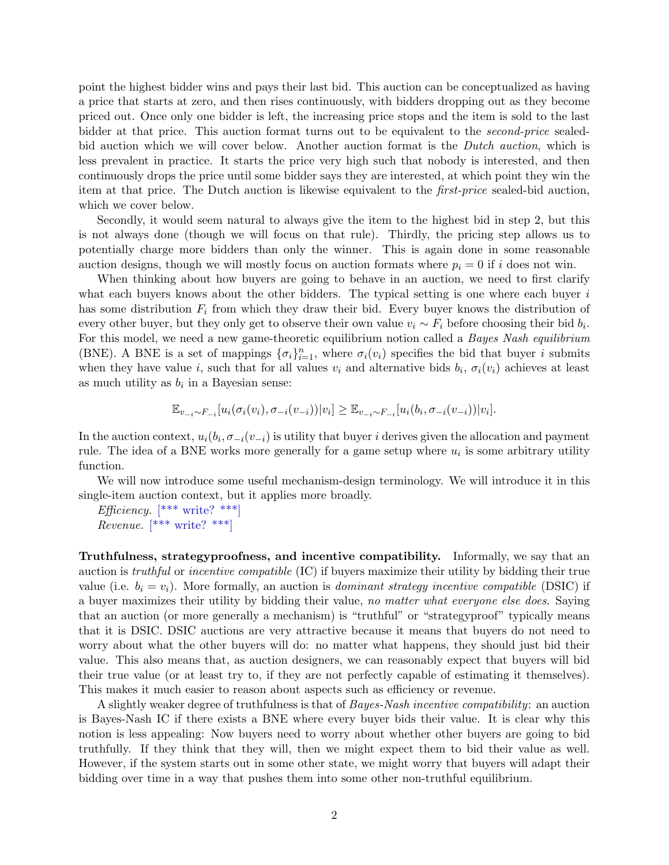point the highest bidder wins and pays their last bid. This auction can be conceptualized as having a price that starts at zero, and then rises continuously, with bidders dropping out as they become priced out. Once only one bidder is left, the increasing price stops and the item is sold to the last bidder at that price. This auction format turns out to be equivalent to the *second-price* sealedbid auction which we will cover below. Another auction format is the *Dutch auction*, which is less prevalent in practice. It starts the price very high such that nobody is interested, and then continuously drops the price until some bidder says they are interested, at which point they win the item at that price. The Dutch auction is likewise equivalent to the first-price sealed-bid auction, which we cover below.

Secondly, it would seem natural to always give the item to the highest bid in step 2, but this is not always done (though we will focus on that rule). Thirdly, the pricing step allows us to potentially charge more bidders than only the winner. This is again done in some reasonable auction designs, though we will mostly focus on auction formats where  $p_i = 0$  if i does not win.

When thinking about how buyers are going to behave in an auction, we need to first clarify what each buyers knows about the other bidders. The typical setting is one where each buyer  $i$ has some distribution  $F_i$  from which they draw their bid. Every buyer knows the distribution of every other buyer, but they only get to observe their own value  $v_i \sim F_i$  before choosing their bid  $b_i$ . For this model, we need a new game-theoretic equilibrium notion called a *Bayes Nash equilibrium* (BNE). A BNE is a set of mappings  $\{\sigma_i\}_{i=1}^n$ , where  $\sigma_i(v_i)$  specifies the bid that buyer i submits when they have value i, such that for all values  $v_i$  and alternative bids  $b_i$ ,  $\sigma_i(v_i)$  achieves at least as much utility as  $b_i$  in a Bayesian sense:

$$
\mathbb{E}_{v_{-i} \sim F_{-i}}[u_i(\sigma_i(v_i), \sigma_{-i}(v_{-i})) | v_i] \geq \mathbb{E}_{v_{-i} \sim F_{-i}}[u_i(b_i, \sigma_{-i}(v_{-i})) | v_i].
$$

In the auction context,  $u_i(b_i, \sigma_{-i}(v_{-i}))$  is utility that buyer i derives given the allocation and payment rule. The idea of a BNE works more generally for a game setup where  $u_i$  is some arbitrary utility function.

We will now introduce some useful mechanism-design terminology. We will introduce it in this single-item auction context, but it applies more broadly.

Efficiency.  $[***\text{ write?}$  \*\*\* Revenue.  $[***\text{ write?}***]$ 

Truthfulness, strategyproofness, and incentive compatibility. Informally, we say that an auction is truthful or incentive compatible (IC) if buyers maximize their utility by bidding their true value (i.e.  $b_i = v_i$ ). More formally, an auction is *dominant strategy incentive compatible* (DSIC) if a buyer maximizes their utility by bidding their value, no matter what everyone else does. Saying that an auction (or more generally a mechanism) is "truthful" or "strategyproof" typically means that it is DSIC. DSIC auctions are very attractive because it means that buyers do not need to worry about what the other buyers will do: no matter what happens, they should just bid their value. This also means that, as auction designers, we can reasonably expect that buyers will bid their true value (or at least try to, if they are not perfectly capable of estimating it themselves). This makes it much easier to reason about aspects such as efficiency or revenue.

A slightly weaker degree of truthfulness is that of Bayes-Nash incentive compatibility: an auction is Bayes-Nash IC if there exists a BNE where every buyer bids their value. It is clear why this notion is less appealing: Now buyers need to worry about whether other buyers are going to bid truthfully. If they think that they will, then we might expect them to bid their value as well. However, if the system starts out in some other state, we might worry that buyers will adapt their bidding over time in a way that pushes them into some other non-truthful equilibrium.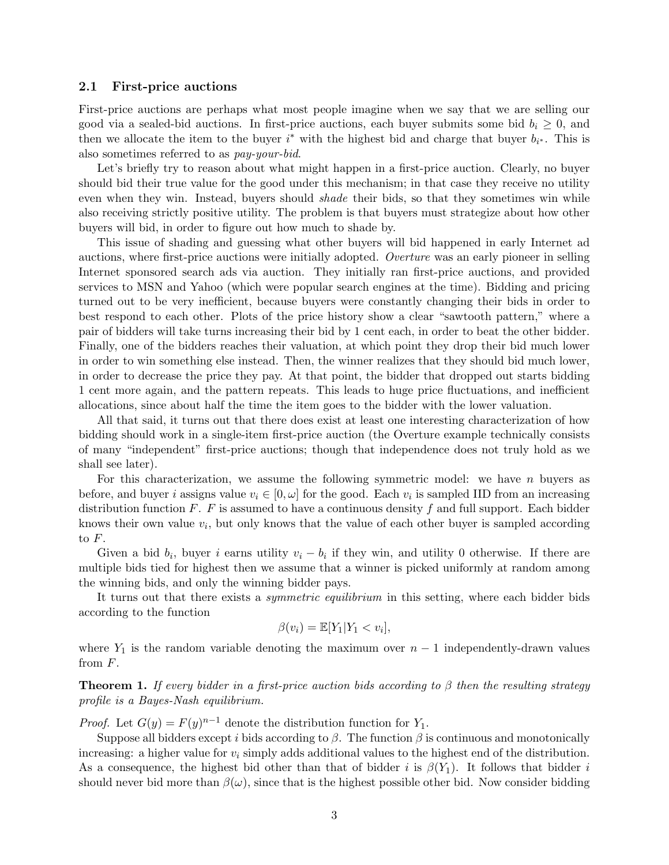#### 2.1 First-price auctions

First-price auctions are perhaps what most people imagine when we say that we are selling our good via a sealed-bid auctions. In first-price auctions, each buyer submits some bid  $b_i \geq 0$ , and then we allocate the item to the buyer  $i^*$  with the highest bid and charge that buyer  $b_{i^*}$ . This is also sometimes referred to as pay-your-bid.

Let's briefly try to reason about what might happen in a first-price auction. Clearly, no buyer should bid their true value for the good under this mechanism; in that case they receive no utility even when they win. Instead, buyers should *shade* their bids, so that they sometimes win while also receiving strictly positive utility. The problem is that buyers must strategize about how other buyers will bid, in order to figure out how much to shade by.

This issue of shading and guessing what other buyers will bid happened in early Internet ad auctions, where first-price auctions were initially adopted. Overture was an early pioneer in selling Internet sponsored search ads via auction. They initially ran first-price auctions, and provided services to MSN and Yahoo (which were popular search engines at the time). Bidding and pricing turned out to be very inefficient, because buyers were constantly changing their bids in order to best respond to each other. Plots of the price history show a clear "sawtooth pattern," where a pair of bidders will take turns increasing their bid by 1 cent each, in order to beat the other bidder. Finally, one of the bidders reaches their valuation, at which point they drop their bid much lower in order to win something else instead. Then, the winner realizes that they should bid much lower, in order to decrease the price they pay. At that point, the bidder that dropped out starts bidding 1 cent more again, and the pattern repeats. This leads to huge price fluctuations, and inefficient allocations, since about half the time the item goes to the bidder with the lower valuation.

All that said, it turns out that there does exist at least one interesting characterization of how bidding should work in a single-item first-price auction (the Overture example technically consists of many "independent" first-price auctions; though that independence does not truly hold as we shall see later).

For this characterization, we assume the following symmetric model: we have  $n$  buyers as before, and buyer *i* assigns value  $v_i \in [0, \omega]$  for the good. Each  $v_i$  is sampled IID from an increasing distribution function  $F$ .  $F$  is assumed to have a continuous density  $f$  and full support. Each bidder knows their own value  $v_i$ , but only knows that the value of each other buyer is sampled according to  $F$ .

Given a bid  $b_i$ , buyer i earns utility  $v_i - b_i$  if they win, and utility 0 otherwise. If there are multiple bids tied for highest then we assume that a winner is picked uniformly at random among the winning bids, and only the winning bidder pays.

It turns out that there exists a *symmetric equilibrium* in this setting, where each bidder bids according to the function

$$
\beta(v_i) = \mathbb{E}[Y_1|Y_1 < v_i],
$$

where  $Y_1$  is the random variable denoting the maximum over  $n-1$  independently-drawn values from F.

<span id="page-2-0"></span>**Theorem 1.** If every bidder in a first-price auction bids according to β then the resulting strategy profile is a Bayes-Nash equilibrium.

*Proof.* Let  $G(y) = F(y)^{n-1}$  denote the distribution function for  $Y_1$ .

Suppose all bidders except i bids according to  $\beta$ . The function  $\beta$  is continuous and monotonically increasing: a higher value for  $v_i$  simply adds additional values to the highest end of the distribution. As a consequence, the highest bid other than that of bidder i is  $\beta(Y_1)$ . It follows that bidder i should never bid more than  $\beta(\omega)$ , since that is the highest possible other bid. Now consider bidding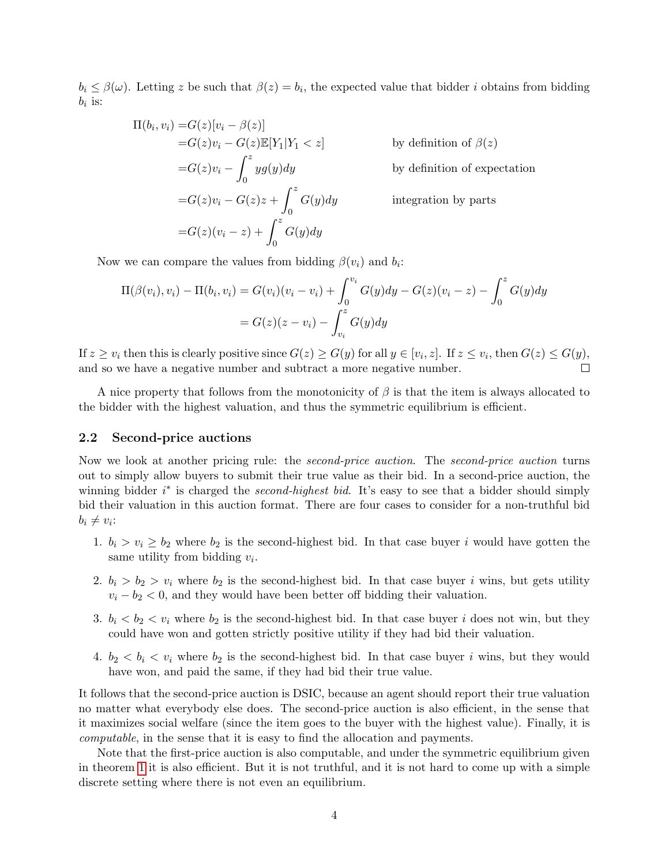$b_i \leq \beta(\omega)$ . Letting z be such that  $\beta(z) = b_i$ , the expected value that bidder i obtains from bidding  $b_i$  is:

$$
\Pi(b_i, v_i) = G(z)[v_i - \beta(z)]
$$
  
\n
$$
= G(z)v_i - G(z)\mathbb{E}[Y_1|Y_1 < z]
$$
 by definition of  $\beta(z)$   
\n
$$
= G(z)v_i - \int_0^z yg(y)dy
$$
 by definition of expectation  
\n
$$
= G(z)v_i - G(z)z + \int_0^z G(y)dy
$$
 integration by parts  
\n
$$
= G(z)(v_i - z) + \int_0^z G(y)dy
$$

Now we can compare the values from bidding  $\beta(v_i)$  and  $b_i$ :

$$
\Pi(\beta(v_i), v_i) - \Pi(b_i, v_i) = G(v_i)(v_i - v_i) + \int_0^{v_i} G(y)dy - G(z)(v_i - z) - \int_0^z G(y)dy
$$
  
=  $G(z)(z - v_i) - \int_{v_i}^z G(y)dy$ 

If  $z \ge v_i$  then this is clearly positive since  $G(z) \ge G(y)$  for all  $y \in [v_i, z]$ . If  $z \le v_i$ , then  $G(z) \le G(y)$ , and so we have a negative number and subtract a more negative number.  $\Box$ 

A nice property that follows from the monotonicity of  $\beta$  is that the item is always allocated to the bidder with the highest valuation, and thus the symmetric equilibrium is efficient.

#### 2.2 Second-price auctions

Now we look at another pricing rule: the *second-price auction*. The *second-price auction* turns out to simply allow buyers to submit their true value as their bid. In a second-price auction, the winning bidder  $i^*$  is charged the *second-highest bid*. It's easy to see that a bidder should simply bid their valuation in this auction format. There are four cases to consider for a non-truthful bid  $b_i \neq v_i$ :

- 1.  $b_i > v_i \ge b_2$  where  $b_2$  is the second-highest bid. In that case buyer i would have gotten the same utility from bidding  $v_i$ .
- 2.  $b_i > b_2 > v_i$  where  $b_2$  is the second-highest bid. In that case buyer i wins, but gets utility  $v_i - b_2 < 0$ , and they would have been better off bidding their valuation.
- 3.  $b_i < b_2 < v_i$  where  $b_2$  is the second-highest bid. In that case buyer i does not win, but they could have won and gotten strictly positive utility if they had bid their valuation.
- 4.  $b_2 < b_i < v_i$  where  $b_2$  is the second-highest bid. In that case buyer i wins, but they would have won, and paid the same, if they had bid their true value.

It follows that the second-price auction is DSIC, because an agent should report their true valuation no matter what everybody else does. The second-price auction is also efficient, in the sense that it maximizes social welfare (since the item goes to the buyer with the highest value). Finally, it is computable, in the sense that it is easy to find the allocation and payments.

Note that the first-price auction is also computable, and under the symmetric equilibrium given in theorem [1](#page-2-0) it is also efficient. But it is not truthful, and it is not hard to come up with a simple discrete setting where there is not even an equilibrium.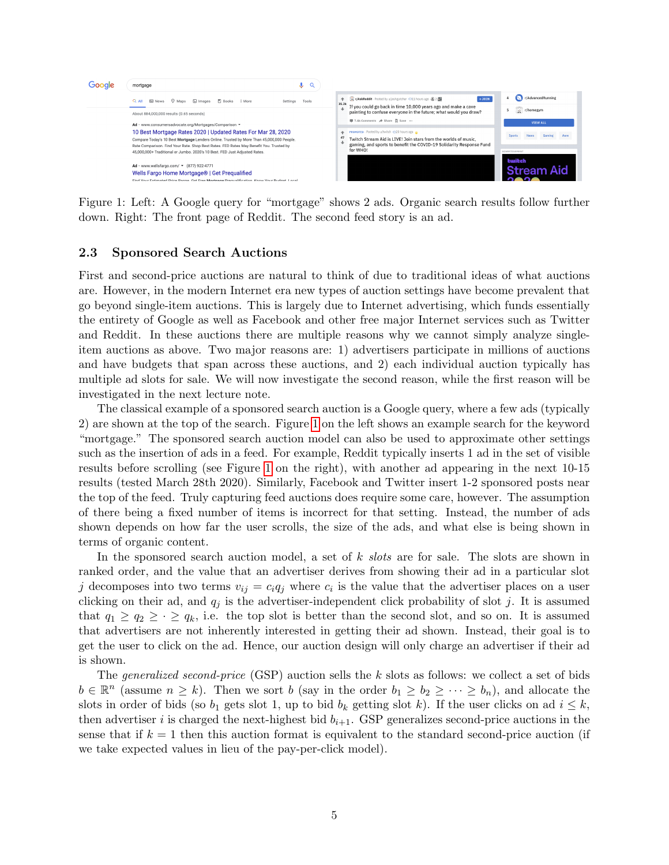

<span id="page-4-0"></span>Figure 1: Left: A Google query for "mortgage" shows 2 ads. Organic search results follow further down. Right: The front page of Reddit. The second feed story is an ad.

#### 2.3 Sponsored Search Auctions

First and second-price auctions are natural to think of due to traditional ideas of what auctions are. However, in the modern Internet era new types of auction settings have become prevalent that go beyond single-item auctions. This is largely due to Internet advertising, which funds essentially the entirety of Google as well as Facebook and other free major Internet services such as Twitter and Reddit. In these auctions there are multiple reasons why we cannot simply analyze singleitem auctions as above. Two major reasons are: 1) advertisers participate in millions of auctions and have budgets that span across these auctions, and 2) each individual auction typically has multiple ad slots for sale. We will now investigate the second reason, while the first reason will be investigated in the next lecture note.

The classical example of a sponsored search auction is a Google query, where a few ads (typically 2) are shown at the top of the search. Figure [1](#page-4-0) on the left shows an example search for the keyword "mortgage." The sponsored search auction model can also be used to approximate other settings such as the insertion of ads in a feed. For example, Reddit typically inserts 1 ad in the set of visible results before scrolling (see Figure [1](#page-4-0) on the right), with another ad appearing in the next 10-15 results (tested March 28th 2020). Similarly, Facebook and Twitter insert 1-2 sponsored posts near the top of the feed. Truly capturing feed auctions does require some care, however. The assumption of there being a fixed number of items is incorrect for that setting. Instead, the number of ads shown depends on how far the user scrolls, the size of the ads, and what else is being shown in terms of organic content.

In the sponsored search auction model, a set of k slots are for sale. The slots are shown in ranked order, and the value that an advertiser derives from showing their ad in a particular slot j decomposes into two terms  $v_{ij} = c_i q_j$  where  $c_i$  is the value that the advertiser places on a user clicking on their ad, and  $q_i$  is the advertiser-independent click probability of slot j. It is assumed that  $q_1 \ge q_2 \ge \cdot \ge q_k$ , i.e. the top slot is better than the second slot, and so on. It is assumed that advertisers are not inherently interested in getting their ad shown. Instead, their goal is to get the user to click on the ad. Hence, our auction design will only charge an advertiser if their ad is shown.

The *generalized second-price* (GSP) auction sells the k slots as follows: we collect a set of bids  $b \in \mathbb{R}^n$  (assume  $n \geq k$ ). Then we sort b (say in the order  $b_1 \geq b_2 \geq \cdots \geq b_n$ ), and allocate the slots in order of bids (so  $b_1$  gets slot 1, up to bid  $b_k$  getting slot k). If the user clicks on ad  $i \leq k$ , then advertiser i is charged the next-highest bid  $b_{i+1}$ . GSP generalizes second-price auctions in the sense that if  $k = 1$  then this auction format is equivalent to the standard second-price auction (if we take expected values in lieu of the pay-per-click model).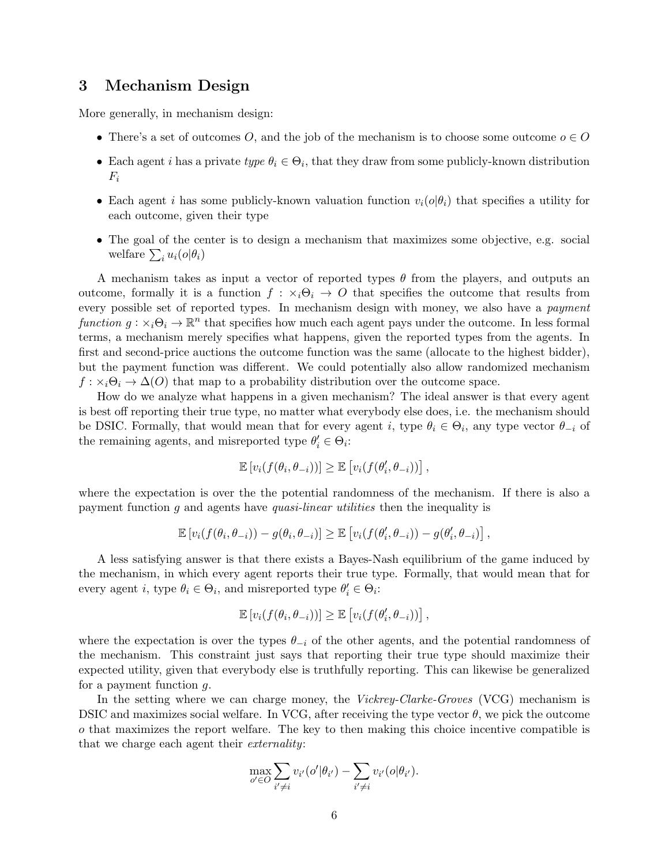## 3 Mechanism Design

More generally, in mechanism design:

- There's a set of outcomes O, and the job of the mechanism is to choose some outcome  $o \in O$
- Each agent *i* has a private type  $\theta_i \in \Theta_i$ , that they draw from some publicly-known distribution  $F_i$
- Each agent i has some publicly-known valuation function  $v_i(\phi|\theta_i)$  that specifies a utility for each outcome, given their type
- The goal of the center is to design a mechanism that maximizes some objective, e.g. social welfare  $\sum_i u_i(o|\theta_i)$

A mechanism takes as input a vector of reported types  $\theta$  from the players, and outputs an outcome, formally it is a function  $f : \times_i \Theta_i \to O$  that specifies the outcome that results from every possible set of reported types. In mechanism design with money, we also have a payment function  $g: \times_i \Theta_i \to \mathbb{R}^n$  that specifies how much each agent pays under the outcome. In less formal terms, a mechanism merely specifies what happens, given the reported types from the agents. In first and second-price auctions the outcome function was the same (allocate to the highest bidder), but the payment function was different. We could potentially also allow randomized mechanism  $f: \times_i \Theta_i \to \Delta(O)$  that map to a probability distribution over the outcome space.

How do we analyze what happens in a given mechanism? The ideal answer is that every agent is best off reporting their true type, no matter what everybody else does, i.e. the mechanism should be DSIC. Formally, that would mean that for every agent i, type  $\theta_i \in \Theta_i$ , any type vector  $\theta_{-i}$  of the remaining agents, and misreported type  $\theta'_i \in \Theta_i$ :

$$
\mathbb{E}\left[v_i(f(\theta_i, \theta_{-i}))\right] \geq \mathbb{E}\left[v_i(f(\theta'_i, \theta_{-i}))\right],
$$

where the expectation is over the the potential randomness of the mechanism. If there is also a payment function g and agents have quasi-linear utilities then the inequality is

$$
\mathbb{E}\left[v_i(f(\theta_i,\theta_{-i})) - g(\theta_i,\theta_{-i})\right] \geq \mathbb{E}\left[v_i(f(\theta'_i,\theta_{-i})) - g(\theta'_i,\theta_{-i})\right],
$$

A less satisfying answer is that there exists a Bayes-Nash equilibrium of the game induced by the mechanism, in which every agent reports their true type. Formally, that would mean that for every agent *i*, type  $\theta_i \in \Theta_i$ , and misreported type  $\theta'_i \in \Theta_i$ :

$$
\mathbb{E}\left[v_i(f(\theta_i, \theta_{-i}))\right] \geq \mathbb{E}\left[v_i(f(\theta_i', \theta_{-i}))\right],
$$

where the expectation is over the types  $\theta_{-i}$  of the other agents, and the potential randomness of the mechanism. This constraint just says that reporting their true type should maximize their expected utility, given that everybody else is truthfully reporting. This can likewise be generalized for a payment function g.

In the setting where we can charge money, the *Vickrey-Clarke-Groves* (VCG) mechanism is DSIC and maximizes social welfare. In VCG, after receiving the type vector  $\theta$ , we pick the outcome o that maximizes the report welfare. The key to then making this choice incentive compatible is that we charge each agent their externality:

$$
\max_{o' \in O} \sum_{i' \neq i} v_{i'}(o'|\theta_{i'}) - \sum_{i' \neq i} v_{i'}(o|\theta_{i'}).
$$